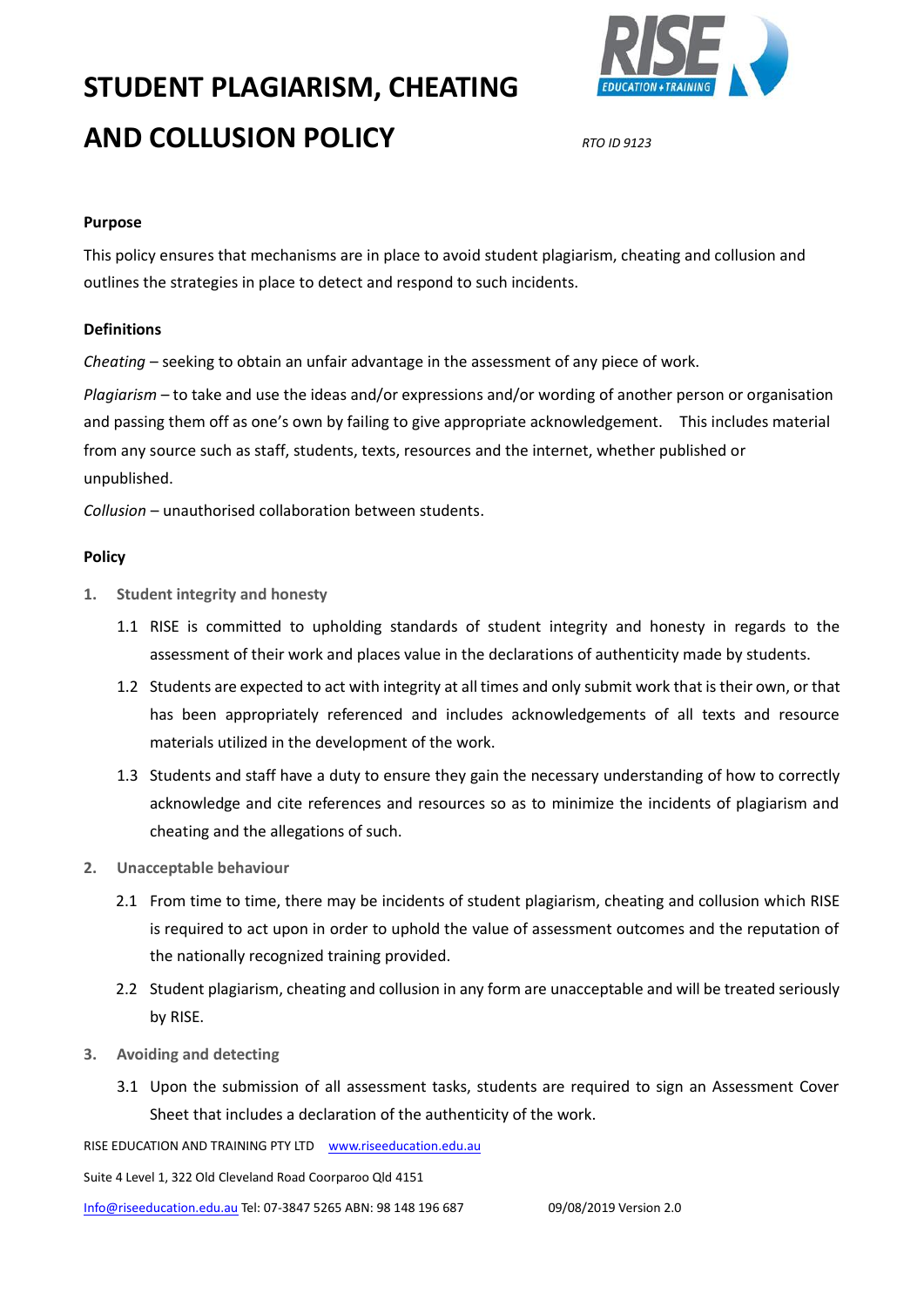# **STUDENT PLAGIARISM, CHEATING AND COLLUSION POLICY** *RTO ID 9123*



#### **Purpose**

This policy ensures that mechanisms are in place to avoid student plagiarism, cheating and collusion and outlines the strategies in place to detect and respond to such incidents.

#### **Definitions**

*Cheating* – seeking to obtain an unfair advantage in the assessment of any piece of work.

*Plagiarism* – to take and use the ideas and/or expressions and/or wording of another person or organisation and passing them off as one's own by failing to give appropriate acknowledgement. This includes material from any source such as staff, students, texts, resources and the internet, whether published or unpublished.

*Collusion* – unauthorised collaboration between students.

#### **Policy**

- **1. Student integrity and honesty**
	- 1.1 RISE is committed to upholding standards of student integrity and honesty in regards to the assessment of their work and places value in the declarations of authenticity made by students.
	- 1.2 Students are expected to act with integrity at all times and only submit work that is their own, or that has been appropriately referenced and includes acknowledgements of all texts and resource materials utilized in the development of the work.
	- 1.3 Students and staff have a duty to ensure they gain the necessary understanding of how to correctly acknowledge and cite references and resources so as to minimize the incidents of plagiarism and cheating and the allegations of such.
- **2. Unacceptable behaviour**
	- 2.1 From time to time, there may be incidents of student plagiarism, cheating and collusion which RISE is required to act upon in order to uphold the value of assessment outcomes and the reputation of the nationally recognized training provided.
	- 2.2 Student plagiarism, cheating and collusion in any form are unacceptable and will be treated seriously by RISE.
- **3. Avoiding and detecting**
	- 3.1 Upon the submission of all assessment tasks, students are required to sign an Assessment Cover Sheet that includes a declaration of the authenticity of the work.

RISE EDUCATION AND TRAINING PTY LTD [www.riseeducation.edu.au](http://www.riseeducation.edu.au/) 

Suite 4 Level 1, 322 Old Cleveland Road Coorparoo Qld 4151

[Info@riseeducation.edu.au](mailto:Info@riseeducation.edu.au) Tel: 07-3847 5265 ABN: 98 148 196 687 09/08/2019 Version 2.0